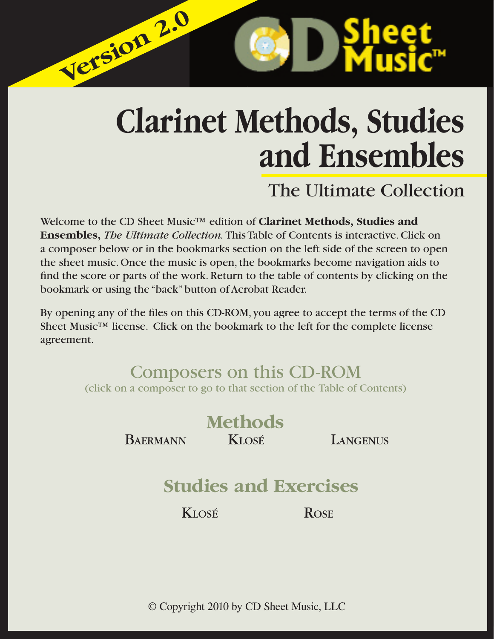# **Clarinet Methods, Studies and Ensembles**

# The Ultimate Collection

Welcome to the CD Sheet Music™ edition of **Clarinet Methods, Studies and Ensembles,** *The Ultimate Collection.* This Table of Contents is interactive. Click on a composer below or in the bookmarks section on the left side of the screen to open the sheet music. Once the music is open, the bookmarks become navigation aids to find the score or parts of the work. Return to the table of contents by clicking on the bookmark or using the "back" button of Acrobat Reader.

**Version 2.0 Version 2.0**

By opening any of the files on this CD-ROM, you agree to accept the terms of the CD Sheet Music<sup>™</sup> license. Click on the bookmark to the left for the complete license agreement.

# Composers on this CD-ROM (click on a composer to go to that section of the Table of Contents)



© Copyright 2010 by CD Sheet Music, LLC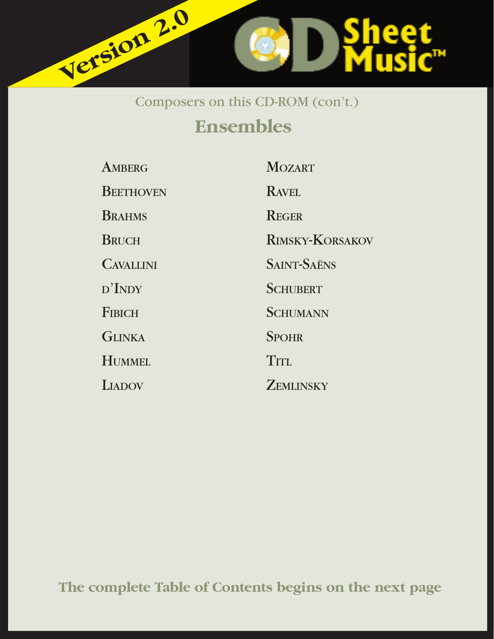

# Composers on this CD-ROM (con't.)

# **Ensembles**

| <b>AMBERG</b>    | <b>MOZART</b>          |
|------------------|------------------------|
| <b>BEETHOVEN</b> | <b>RAVEL</b>           |
| <b>BRAHMS</b>    | <b>REGER</b>           |
| <b>BRUCH</b>     | <b>RIMSKY-KORSAKOV</b> |
| <b>CAVALLINI</b> | <b>SAINT-SAËNS</b>     |
| $D'$ INDY        | <b>SCHUBERT</b>        |
| <b>FIBICH</b>    | <b>SCHUMANN</b>        |
| <b>GLINKA</b>    | <b>SPOHR</b>           |
| <b>HUMMEL</b>    | TITL                   |
| <b>LIADOV</b>    | <b>ZEMLINSKY</b>       |

**The complete Table of Contents begins on the next page**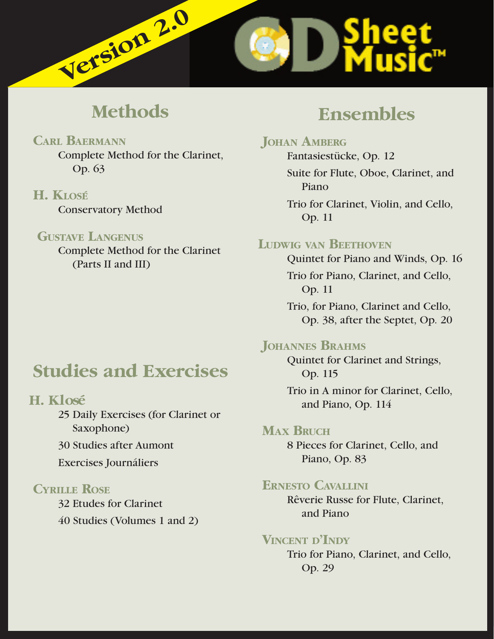<span id="page-2-0"></span>

# **Methods**

# **CARL BAERMANN**

 Complete Method for the Clarinet, Op. 63

# **H. KLOSÉ**

Conservatory Method

## **GUSTAVE LANGENUS**

 Complete Method for the Clarinet (Parts II and III)

# **Studies and Exercises**

# **H. Klosé**

 25 Daily Exercises (for Clarinet or Saxophone)

30 Studies after Aumont

Exercises Journáliers

# **CYRILLE ROSE**

32 Etudes for Clarinet

40 Studies (Volumes 1 and 2)

# **Ensembles**

# **JOHAN AMBERG**

Fantasiestücke, Op. 12 Suite for Flute, Oboe, Clarinet, and Piano

 Trio for Clarinet, Violin, and Cello, Op. 11

# **LUDWIG VAN BEETHOVEN**

Quintet for Piano and Winds, Op. 16 Trio for Piano, Clarinet, and Cello, Op. 11

 Trio, for Piano, Clarinet and Cello, Op. 38, after the Septet, Op. 20

# **JOHANNES BRAHMS**

Quintet for Clarinet and Strings, Op. 115

 Trio in A minor for Clarinet, Cello, and Piano, Op. 114

# **MAX BRUCH**

8 Pieces for Clarinet, Cello, and Piano, Op. 83

# **ERNESTO CAVALLINI**

Rêverie Russe for Flute, Clarinet, and Piano

# **VINCENT <sup>D</sup>'INDY**

Trio for Piano, Clarinet, and Cello, Op. 29